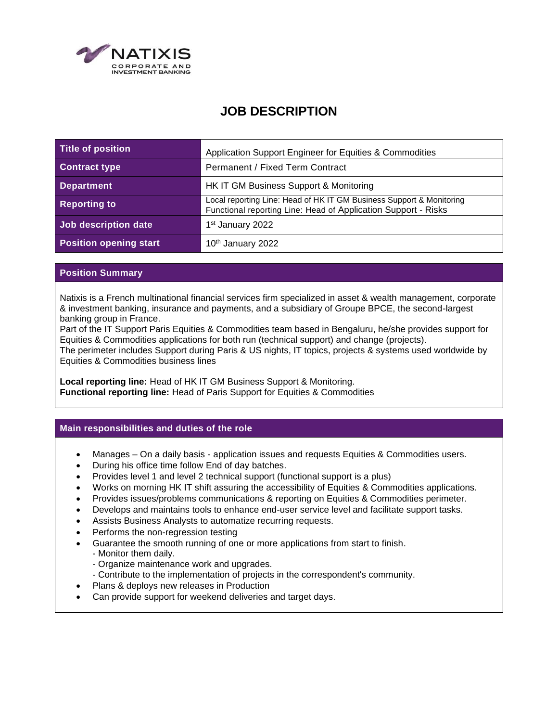

# **JOB DESCRIPTION**

| Title of position             | Application Support Engineer for Equities & Commodities                                                                                |
|-------------------------------|----------------------------------------------------------------------------------------------------------------------------------------|
| <b>Contract type</b>          | Permanent / Fixed Term Contract                                                                                                        |
| <b>Department</b>             | HK IT GM Business Support & Monitoring                                                                                                 |
| <b>Reporting to</b>           | Local reporting Line: Head of HK IT GM Business Support & Monitoring<br>Functional reporting Line: Head of Application Support - Risks |
| Job description date          | 1 <sup>st</sup> January 2022                                                                                                           |
| <b>Position opening start</b> | 10 <sup>th</sup> January 2022                                                                                                          |

### **Position Summary**

Natixis is a French multinational financial services firm specialized in asset & wealth management, corporate & investment banking, insurance and payments, and a subsidiary of Groupe BPCE, the second-largest banking group in France.

Part of the IT Support Paris Equities & Commodities team based in Bengaluru, he/she provides support for Equities & Commodities applications for both run (technical support) and change (projects).

The perimeter includes Support during Paris & US nights, IT topics, projects & systems used worldwide by Equities & Commodities business lines

**Local reporting line:** Head of HK IT GM Business Support & Monitoring. **Functional reporting line:** Head of Paris Support for Equities & Commodities

#### **Main responsibilities and duties of the role**

- Manages On a daily basis application issues and requests Equities & Commodities users.
- During his office time follow End of day batches.
- Provides level 1 and level 2 technical support (functional support is a plus)
- Works on morning HK IT shift assuring the accessibility of Equities & Commodities applications.
- Provides issues/problems communications & reporting on Equities & Commodities perimeter.
- Develops and maintains tools to enhance end-user service level and facilitate support tasks.
- Assists Business Analysts to automatize recurring requests.
- Performs the non-regression testing
- Guarantee the smooth running of one or more applications from start to finish.
	- Monitor them daily.
	- Organize maintenance work and upgrades.
	- Contribute to the implementation of projects in the correspondent's community.
- Plans & deploys new releases in Production
- Can provide support for weekend deliveries and target days.